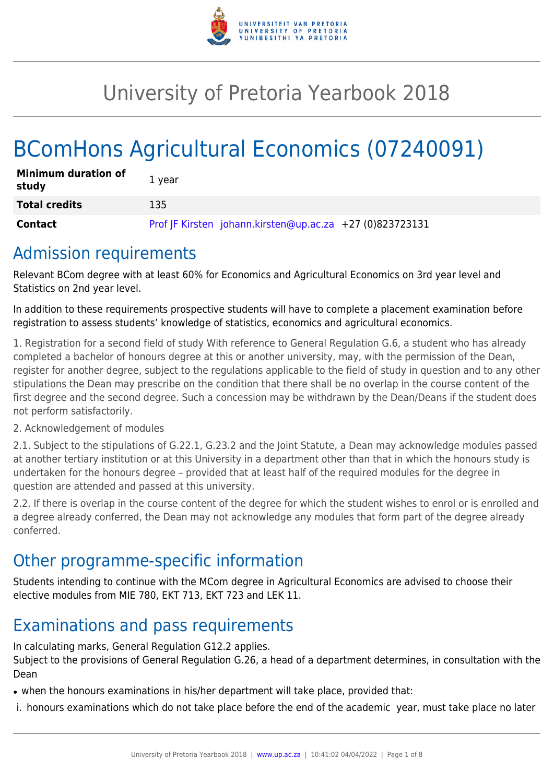

# University of Pretoria Yearbook 2018

# BComHons Agricultural Economics (07240091)

| <b>Minimum duration of</b><br>study | 1 year                                                   |
|-------------------------------------|----------------------------------------------------------|
| <b>Total credits</b>                | 135                                                      |
| <b>Contact</b>                      | Prof JF Kirsten johann.kirsten@up.ac.za +27 (0)823723131 |

## Admission requirements

Relevant BCom degree with at least 60% for Economics and Agricultural Economics on 3rd year level and Statistics on 2nd year level.

In addition to these requirements prospective students will have to complete a placement examination before registration to assess students' knowledge of statistics, economics and agricultural economics.

1. Registration for a second field of study With reference to General Regulation G.6, a student who has already completed a bachelor of honours degree at this or another university, may, with the permission of the Dean, register for another degree, subject to the regulations applicable to the field of study in question and to any other stipulations the Dean may prescribe on the condition that there shall be no overlap in the course content of the first degree and the second degree. Such a concession may be withdrawn by the Dean/Deans if the student does not perform satisfactorily.

### 2. Acknowledgement of modules

2.1. Subject to the stipulations of G.22.1, G.23.2 and the Joint Statute, a Dean may acknowledge modules passed at another tertiary institution or at this University in a department other than that in which the honours study is undertaken for the honours degree – provided that at least half of the required modules for the degree in question are attended and passed at this university.

2.2. If there is overlap in the course content of the degree for which the student wishes to enrol or is enrolled and a degree already conferred, the Dean may not acknowledge any modules that form part of the degree already conferred.

# Other programme-specific information

Students intending to continue with the MCom degree in Agricultural Economics are advised to choose their elective modules from MIE 780, EKT 713, EKT 723 and LEK 11.

# Examinations and pass requirements

In calculating marks, General Regulation G12.2 applies. Subject to the provisions of General Regulation G.26, a head of a department determines, in consultation with the Dean

• when the honours examinations in his/her department will take place, provided that:

i. honours examinations which do not take place before the end of the academic year, must take place no later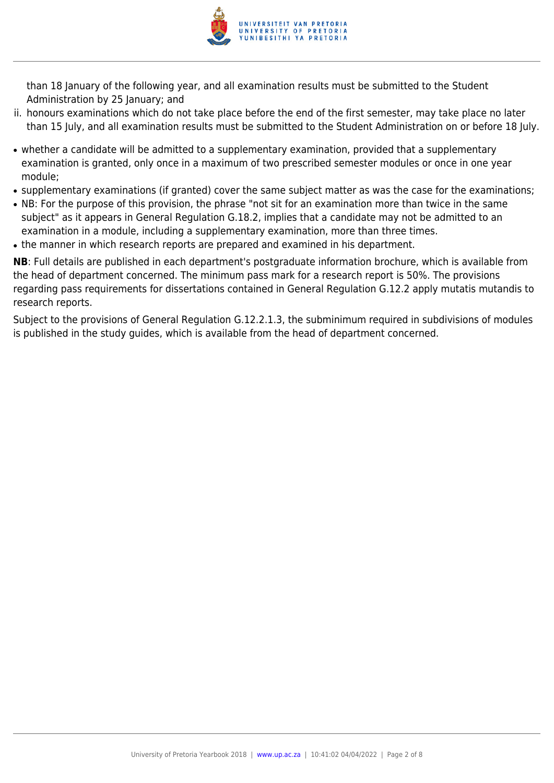

than 18 January of the following year, and all examination results must be submitted to the Student Administration by 25 January; and

- ii. honours examinations which do not take place before the end of the first semester, may take place no later than 15 July, and all examination results must be submitted to the Student Administration on or before 18 July.
- whether a candidate will be admitted to a supplementary examination, provided that a supplementary examination is granted, only once in a maximum of two prescribed semester modules or once in one year module;
- supplementary examinations (if granted) cover the same subject matter as was the case for the examinations;
- NB: For the purpose of this provision, the phrase "not sit for an examination more than twice in the same subject" as it appears in General Regulation G.18.2, implies that a candidate may not be admitted to an examination in a module, including a supplementary examination, more than three times.
- the manner in which research reports are prepared and examined in his department.

**NB**: Full details are published in each department's postgraduate information brochure, which is available from the head of department concerned. The minimum pass mark for a research report is 50%. The provisions regarding pass requirements for dissertations contained in General Regulation G.12.2 apply mutatis mutandis to research reports.

Subject to the provisions of General Regulation G.12.2.1.3, the subminimum required in subdivisions of modules is published in the study guides, which is available from the head of department concerned.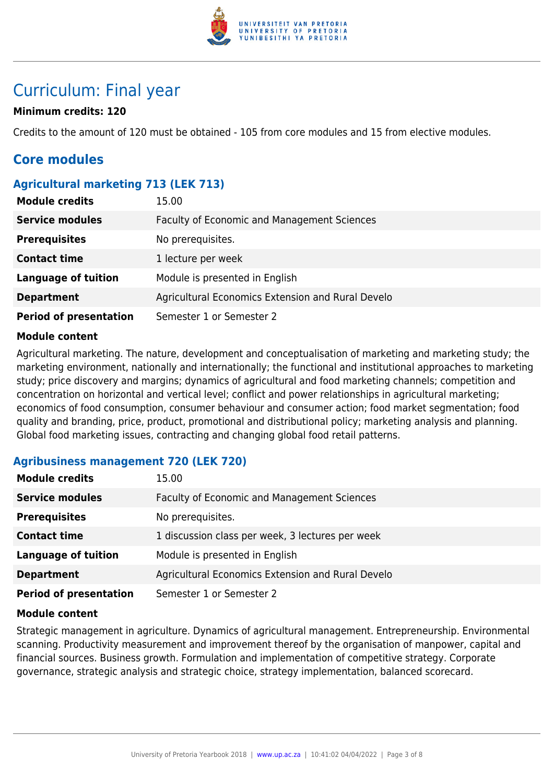

# Curriculum: Final year

#### **Minimum credits: 120**

Credits to the amount of 120 must be obtained - 105 from core modules and 15 from elective modules.

## **Core modules**

#### **Agricultural marketing 713 (LEK 713)**

| <b>Module credits</b>         | 15.00                                              |
|-------------------------------|----------------------------------------------------|
| <b>Service modules</b>        | <b>Faculty of Economic and Management Sciences</b> |
| <b>Prerequisites</b>          | No prerequisites.                                  |
| <b>Contact time</b>           | 1 lecture per week                                 |
| <b>Language of tuition</b>    | Module is presented in English                     |
| <b>Department</b>             | Agricultural Economics Extension and Rural Develo  |
| <b>Period of presentation</b> | Semester 1 or Semester 2                           |

#### **Module content**

Agricultural marketing. The nature, development and conceptualisation of marketing and marketing study; the marketing environment, nationally and internationally; the functional and institutional approaches to marketing study; price discovery and margins; dynamics of agricultural and food marketing channels; competition and concentration on horizontal and vertical level; conflict and power relationships in agricultural marketing; economics of food consumption, consumer behaviour and consumer action; food market segmentation; food quality and branding, price, product, promotional and distributional policy; marketing analysis and planning. Global food marketing issues, contracting and changing global food retail patterns.

#### **Agribusiness management 720 (LEK 720)**

| <b>Module credits</b>         | 15.00                                             |
|-------------------------------|---------------------------------------------------|
| <b>Service modules</b>        | Faculty of Economic and Management Sciences       |
| <b>Prerequisites</b>          | No prerequisites.                                 |
| <b>Contact time</b>           | 1 discussion class per week, 3 lectures per week  |
| <b>Language of tuition</b>    | Module is presented in English                    |
| <b>Department</b>             | Agricultural Economics Extension and Rural Develo |
| <b>Period of presentation</b> | Semester 1 or Semester 2                          |

#### **Module content**

Strategic management in agriculture. Dynamics of agricultural management. Entrepreneurship. Environmental scanning. Productivity measurement and improvement thereof by the organisation of manpower, capital and financial sources. Business growth. Formulation and implementation of competitive strategy. Corporate governance, strategic analysis and strategic choice, strategy implementation, balanced scorecard.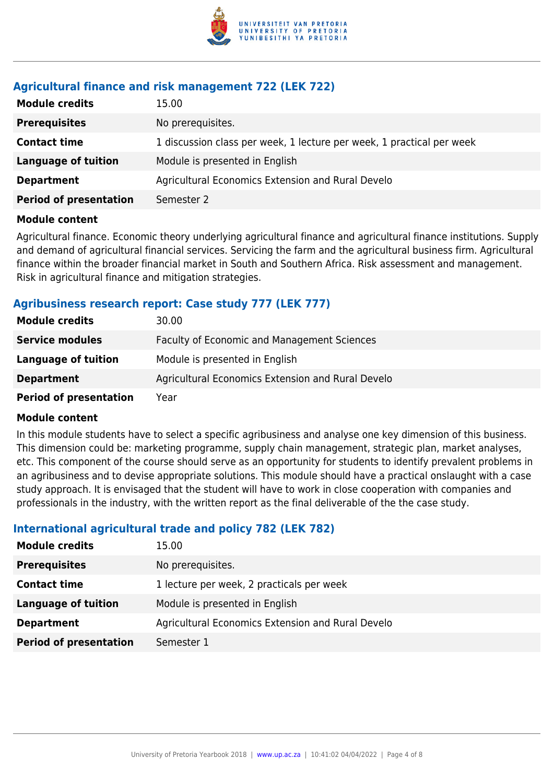

#### **Agricultural finance and risk management 722 (LEK 722)**

| <b>Module credits</b><br>15.00                                                               |  |
|----------------------------------------------------------------------------------------------|--|
| No prerequisites.<br><b>Prerequisites</b>                                                    |  |
| 1 discussion class per week, 1 lecture per week, 1 practical per week<br><b>Contact time</b> |  |
| Module is presented in English<br><b>Language of tuition</b>                                 |  |
| Agricultural Economics Extension and Rural Develo<br><b>Department</b>                       |  |
| <b>Period of presentation</b><br>Semester 2                                                  |  |

#### **Module content**

Agricultural finance. Economic theory underlying agricultural finance and agricultural finance institutions. Supply and demand of agricultural financial services. Servicing the farm and the agricultural business firm. Agricultural finance within the broader financial market in South and Southern Africa. Risk assessment and management. Risk in agricultural finance and mitigation strategies.

#### **Agribusiness research report: Case study 777 (LEK 777)**

| <b>Module credits</b>         | 30.00                                             |
|-------------------------------|---------------------------------------------------|
| <b>Service modules</b>        | Faculty of Economic and Management Sciences       |
| Language of tuition           | Module is presented in English                    |
| <b>Department</b>             | Agricultural Economics Extension and Rural Develo |
| <b>Period of presentation</b> | Year                                              |

#### **Module content**

In this module students have to select a specific agribusiness and analyse one key dimension of this business. This dimension could be: marketing programme, supply chain management, strategic plan, market analyses, etc. This component of the course should serve as an opportunity for students to identify prevalent problems in an agribusiness and to devise appropriate solutions. This module should have a practical onslaught with a case study approach. It is envisaged that the student will have to work in close cooperation with companies and professionals in the industry, with the written report as the final deliverable of the the case study.

#### **International agricultural trade and policy 782 (LEK 782)**

| <b>Module credits</b>         | 15.00                                             |
|-------------------------------|---------------------------------------------------|
| <b>Prerequisites</b>          | No prerequisites.                                 |
| <b>Contact time</b>           | 1 lecture per week, 2 practicals per week         |
| <b>Language of tuition</b>    | Module is presented in English                    |
| <b>Department</b>             | Agricultural Economics Extension and Rural Develo |
| <b>Period of presentation</b> | Semester 1                                        |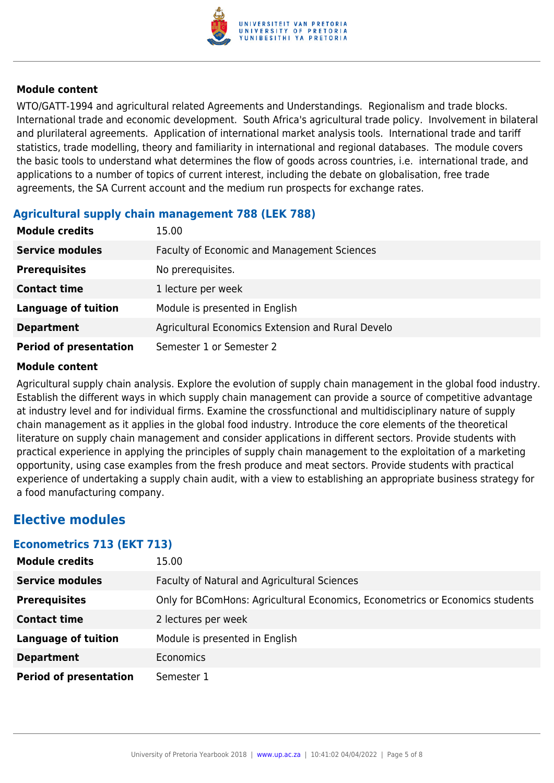

#### **Module content**

WTO/GATT-1994 and agricultural related Agreements and Understandings. Regionalism and trade blocks. International trade and economic development. South Africa's agricultural trade policy. Involvement in bilateral and plurilateral agreements. Application of international market analysis tools. International trade and tariff statistics, trade modelling, theory and familiarity in international and regional databases. The module covers the basic tools to understand what determines the flow of goods across countries, i.e. international trade, and applications to a number of topics of current interest, including the debate on globalisation, free trade agreements, the SA Current account and the medium run prospects for exchange rates.

#### **Agricultural supply chain management 788 (LEK 788)**

| <b>Module credits</b>         | 15.00                                             |
|-------------------------------|---------------------------------------------------|
| <b>Service modules</b>        | Faculty of Economic and Management Sciences       |
| <b>Prerequisites</b>          | No prerequisites.                                 |
| <b>Contact time</b>           | 1 lecture per week                                |
| <b>Language of tuition</b>    | Module is presented in English                    |
| <b>Department</b>             | Agricultural Economics Extension and Rural Develo |
| <b>Period of presentation</b> | Semester 1 or Semester 2                          |

#### **Module content**

Agricultural supply chain analysis. Explore the evolution of supply chain management in the global food industry. Establish the different ways in which supply chain management can provide a source of competitive advantage at industry level and for individual firms. Examine the crossfunctional and multidisciplinary nature of supply chain management as it applies in the global food industry. Introduce the core elements of the theoretical literature on supply chain management and consider applications in different sectors. Provide students with practical experience in applying the principles of supply chain management to the exploitation of a marketing opportunity, using case examples from the fresh produce and meat sectors. Provide students with practical experience of undertaking a supply chain audit, with a view to establishing an appropriate business strategy for a food manufacturing company.

### **Elective modules**

#### **Econometrics 713 (EKT 713)**

| <b>Module credits</b>         | 15.00                                                                         |
|-------------------------------|-------------------------------------------------------------------------------|
| <b>Service modules</b>        | Faculty of Natural and Agricultural Sciences                                  |
| <b>Prerequisites</b>          | Only for BComHons: Agricultural Economics, Econometrics or Economics students |
| <b>Contact time</b>           | 2 lectures per week                                                           |
| <b>Language of tuition</b>    | Module is presented in English                                                |
| <b>Department</b>             | Economics                                                                     |
| <b>Period of presentation</b> | Semester 1                                                                    |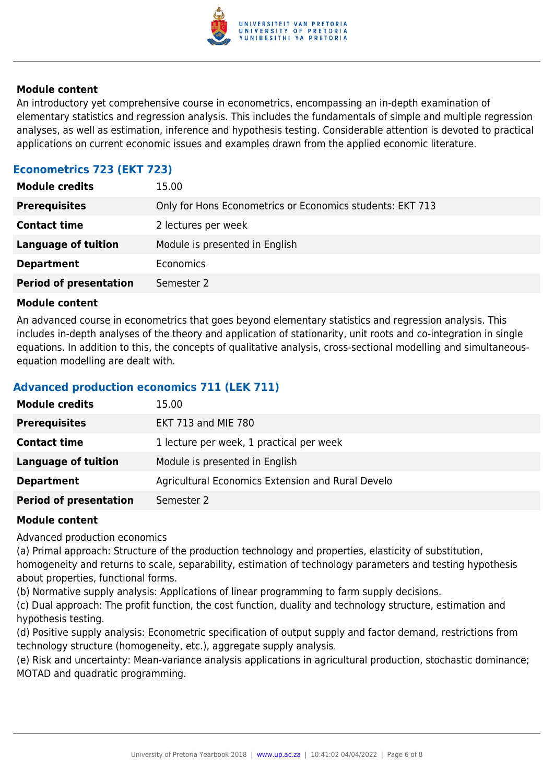

#### **Module content**

An introductory yet comprehensive course in econometrics, encompassing an in-depth examination of elementary statistics and regression analysis. This includes the fundamentals of simple and multiple regression analyses, as well as estimation, inference and hypothesis testing. Considerable attention is devoted to practical applications on current economic issues and examples drawn from the applied economic literature.

### **Econometrics 723 (EKT 723)**

| <b>Module credits</b>         | 15.00                                                     |
|-------------------------------|-----------------------------------------------------------|
| <b>Prerequisites</b>          | Only for Hons Econometrics or Economics students: EKT 713 |
| <b>Contact time</b>           | 2 lectures per week                                       |
| <b>Language of tuition</b>    | Module is presented in English                            |
| <b>Department</b>             | Economics                                                 |
| <b>Period of presentation</b> | Semester 2                                                |

#### **Module content**

An advanced course in econometrics that goes beyond elementary statistics and regression analysis. This includes in-depth analyses of the theory and application of stationarity, unit roots and co-integration in single equations. In addition to this, the concepts of qualitative analysis, cross-sectional modelling and simultaneousequation modelling are dealt with.

#### **Advanced production economics 711 (LEK 711)**

| <b>Module credits</b>         | 15.00                                             |
|-------------------------------|---------------------------------------------------|
| <b>Prerequisites</b>          | <b>EKT 713 and MIE 780</b>                        |
| <b>Contact time</b>           | 1 lecture per week, 1 practical per week          |
| <b>Language of tuition</b>    | Module is presented in English                    |
| <b>Department</b>             | Agricultural Economics Extension and Rural Develo |
| <b>Period of presentation</b> | Semester 2                                        |

#### **Module content**

Advanced production economics

(a) Primal approach: Structure of the production technology and properties, elasticity of substitution, homogeneity and returns to scale, separability, estimation of technology parameters and testing hypothesis about properties, functional forms.

(b) Normative supply analysis: Applications of linear programming to farm supply decisions.

(c) Dual approach: The profit function, the cost function, duality and technology structure, estimation and hypothesis testing.

(d) Positive supply analysis: Econometric specification of output supply and factor demand, restrictions from technology structure (homogeneity, etc.), aggregate supply analysis.

(e) Risk and uncertainty: Mean-variance analysis applications in agricultural production, stochastic dominance; MOTAD and quadratic programming.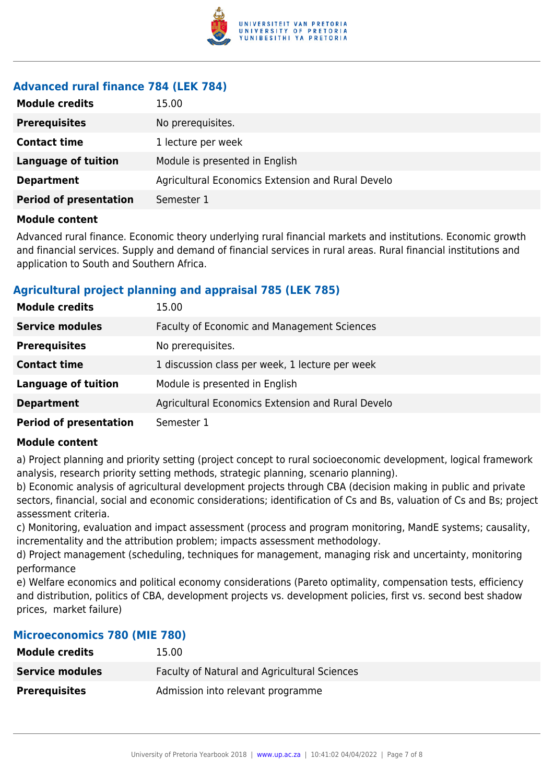

### **Advanced rural finance 784 (LEK 784)**

| <b>Module credits</b>         | 15.00                                             |
|-------------------------------|---------------------------------------------------|
| <b>Prerequisites</b>          | No prerequisites.                                 |
| <b>Contact time</b>           | 1 lecture per week                                |
| <b>Language of tuition</b>    | Module is presented in English                    |
| <b>Department</b>             | Agricultural Economics Extension and Rural Develo |
| <b>Period of presentation</b> | Semester 1                                        |

#### **Module content**

Advanced rural finance. Economic theory underlying rural financial markets and institutions. Economic growth and financial services. Supply and demand of financial services in rural areas. Rural financial institutions and application to South and Southern Africa.

#### **Agricultural project planning and appraisal 785 (LEK 785)**

| <b>Module credits</b>         | 15.00                                              |
|-------------------------------|----------------------------------------------------|
| <b>Service modules</b>        | <b>Faculty of Economic and Management Sciences</b> |
| <b>Prerequisites</b>          | No prerequisites.                                  |
| <b>Contact time</b>           | 1 discussion class per week, 1 lecture per week    |
| <b>Language of tuition</b>    | Module is presented in English                     |
| <b>Department</b>             | Agricultural Economics Extension and Rural Develo  |
| <b>Period of presentation</b> | Semester 1                                         |

#### **Module content**

a) Project planning and priority setting (project concept to rural socioeconomic development, logical framework analysis, research priority setting methods, strategic planning, scenario planning).

b) Economic analysis of agricultural development projects through CBA (decision making in public and private sectors, financial, social and economic considerations; identification of Cs and Bs, valuation of Cs and Bs; project assessment criteria.

c) Monitoring, evaluation and impact assessment (process and program monitoring, MandE systems; causality, incrementality and the attribution problem; impacts assessment methodology.

d) Project management (scheduling, techniques for management, managing risk and uncertainty, monitoring performance

e) Welfare economics and political economy considerations (Pareto optimality, compensation tests, efficiency and distribution, politics of CBA, development projects vs. development policies, first vs. second best shadow prices, market failure)

#### **Microeconomics 780 (MIE 780)**

| <b>Module credits</b>  | 15.00                                               |
|------------------------|-----------------------------------------------------|
| <b>Service modules</b> | <b>Faculty of Natural and Agricultural Sciences</b> |
| <b>Prerequisites</b>   | Admission into relevant programme                   |